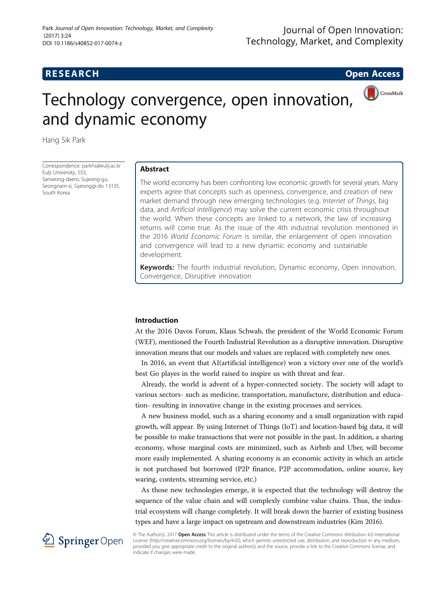

# Technology convergence, open innovation, and dynamic economy

Hang Sik Park

Correspondence: [parkhs@eulji.ac.kr](mailto:parkhs@eulji.ac.kr) Eulji University, 553, Sanseong-daero, Sujeong-gu, Seongnam-si, Gyeonggi-do 13135, South Korea

# Abstract

The world economy has been confronting low economic growth for several years. Many experts agree that concepts such as openness, convergence, and creation of new market demand through new emerging technologies (e.g. Internet of Things, big data, and Artificial Intelligence) may solve the current economic crisis throughout the world. When these concepts are linked to a network, the law of increasing returns will come true. As the issue of the 4th industrial revolution mentioned in the 2016 World Economic Forum is similar, the enlargement of open innovation and convergence will lead to a new dynamic economy and sustainable development.

Keywords: The fourth industrial revolution, Dynamic economy, Open innovation, Convergence, Disruptive innovation

## Introduction

At the 2016 Davos Forum, Klaus Schwab, the president of the World Economic Forum (WEF), mentioned the Fourth Industrial Revolution as a disruptive innovation. Disruptive innovation means that our models and values are replaced with completely new ones.

In 2016, an event that AI(artificial intelligence) won a victory over one of the world's best Go playes in the world raised to inspire us with threat and fear.

Already, the world is advent of a hyper-connected society. The society will adapt to various sectors- such as medicine, transportation, manufacture, distribution and education- resulting in innovative change in the existing processes and services.

A new business model, such as a sharing economy and a small organization with rapid growth, will appear. By using Internet of Things (IoT) and location-based big data, it will be possible to make transactions that were not possible in the past. In addition, a sharing economy, whose marginal costs are minimized, such as Airbnb and Uber, will become more easily implemented. A sharing economy is an economic activity in which an article is not purchased but borrowed (P2P finance, P2P accommodation, online source, key waring, contents, streaming service, etc.)

As those new technologies emerge, it is expected that the technology will destroy the sequence of the value chain and will complexly combine value chains. Thus, the industrial ecosystem will change completely. It will break down the barrier of existing business types and have a large impact on upstream and downstream industries (Kim [2016](#page-12-0)).



© The Author(s). 2017 Open Access This article is distributed under the terms of the Creative Commons Attribution 4.0 International License [\(http://creativecommons.org/licenses/by/4.0/](http://creativecommons.org/licenses/by/4.0/)), which permits unrestricted use, distribution, and reproduction in any medium, provided you give appropriate credit to the original author(s) and the source, provide a link to the Creative Commons license, and indicate if changes were made.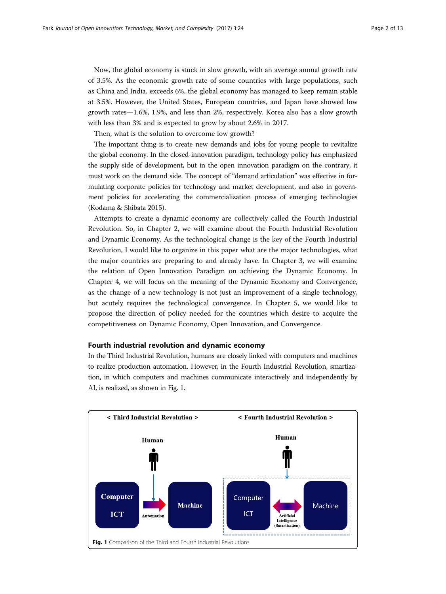Now, the global economy is stuck in slow growth, with an average annual growth rate of 3.5%. As the economic growth rate of some countries with large populations, such as China and India, exceeds 6%, the global economy has managed to keep remain stable at 3.5%. However, the United States, European countries, and Japan have showed low growth rates—1.6%, 1.9%, and less than 2%, respectively. Korea also has a slow growth with less than 3% and is expected to grow by about 2.6% in 2017.

Then, what is the solution to overcome low growth?

The important thing is to create new demands and jobs for young people to revitalize the global economy. In the closed-innovation paradigm, technology policy has emphasized the supply side of development, but in the open innovation paradigm on the contrary, it must work on the demand side. The concept of "demand articulation" was effective in formulating corporate policies for technology and market development, and also in government policies for accelerating the commercialization process of emerging technologies (Kodama & Shibata [2015\)](#page-12-0).

Attempts to create a dynamic economy are collectively called the Fourth Industrial Revolution. So, in Chapter 2, we will examine about the Fourth Industrial Revolution and Dynamic Economy. As the technological change is the key of the Fourth Industrial Revolution, I would like to organize in this paper what are the major technologies, what the major countries are preparing to and already have. In Chapter 3, we will examine the relation of Open Innovation Paradigm on achieving the Dynamic Economy. In Chapter 4, we will focus on the meaning of the Dynamic Economy and Convergence, as the change of a new technology is not just an improvement of a single technology, but acutely requires the technological convergence. In Chapter 5, we would like to propose the direction of policy needed for the countries which desire to acquire the competitiveness on Dynamic Economy, Open Innovation, and Convergence.

### Fourth industrial revolution and dynamic economy

In the Third Industrial Revolution, humans are closely linked with computers and machines to realize production automation. However, in the Fourth Industrial Revolution, smartization, in which computers and machines communicate interactively and independently by AI, is realized, as shown in Fig. 1.

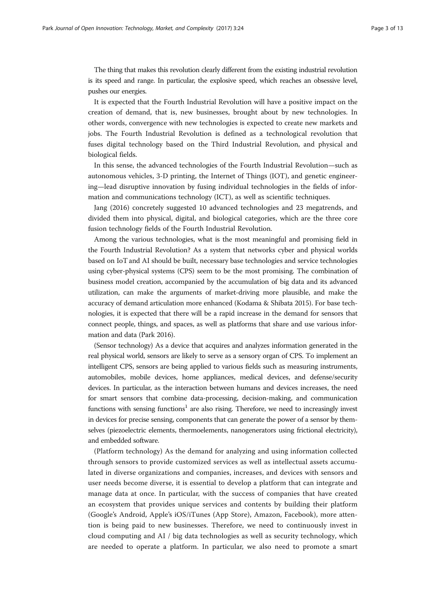The thing that makes this revolution clearly different from the existing industrial revolution is its speed and range. In particular, the explosive speed, which reaches an obsessive level, pushes our energies.

It is expected that the Fourth Industrial Revolution will have a positive impact on the creation of demand, that is, new businesses, brought about by new technologies. In other words, convergence with new technologies is expected to create new markets and jobs. The Fourth Industrial Revolution is defined as a technological revolution that fuses digital technology based on the Third Industrial Revolution, and physical and biological fields.

In this sense, the advanced technologies of the Fourth Industrial Revolution—such as autonomous vehicles, 3-D printing, the Internet of Things (IOT), and genetic engineering—lead disruptive innovation by fusing individual technologies in the fields of information and communications technology (ICT), as well as scientific techniques.

Jang [\(2016\)](#page-12-0) concretely suggested 10 advanced technologies and 23 megatrends, and divided them into physical, digital, and biological categories, which are the three core fusion technology fields of the Fourth Industrial Revolution.

Among the various technologies, what is the most meaningful and promising field in the Fourth Industrial Revolution? As a system that networks cyber and physical worlds based on IoT and AI should be built, necessary base technologies and service technologies using cyber-physical systems (CPS) seem to be the most promising. The combination of business model creation, accompanied by the accumulation of big data and its advanced utilization, can make the arguments of market-driving more plausible, and make the accuracy of demand articulation more enhanced (Kodama & Shibata [2015\)](#page-12-0). For base technologies, it is expected that there will be a rapid increase in the demand for sensors that connect people, things, and spaces, as well as platforms that share and use various information and data (Park [2016\)](#page-12-0).

(Sensor technology) As a device that acquires and analyzes information generated in the real physical world, sensors are likely to serve as a sensory organ of CPS. To implement an intelligent CPS, sensors are being applied to various fields such as measuring instruments, automobiles, mobile devices, home appliances, medical devices, and defense/security devices. In particular, as the interaction between humans and devices increases, the need for smart sensors that combine data-processing, decision-making, and communication functions with sensing functions<sup>1</sup> are also rising. Therefore, we need to increasingly invest in devices for precise sensing, components that can generate the power of a sensor by themselves (piezoelectric elements, thermoelements, nanogenerators using frictional electricity), and embedded software.

(Platform technology) As the demand for analyzing and using information collected through sensors to provide customized services as well as intellectual assets accumulated in diverse organizations and companies, increases, and devices with sensors and user needs become diverse, it is essential to develop a platform that can integrate and manage data at once. In particular, with the success of companies that have created an ecosystem that provides unique services and contents by building their platform (Google's Android, Apple's iOS/iTunes (App Store), Amazon, Facebook), more attention is being paid to new businesses. Therefore, we need to continuously invest in cloud computing and AI / big data technologies as well as security technology, which are needed to operate a platform. In particular, we also need to promote a smart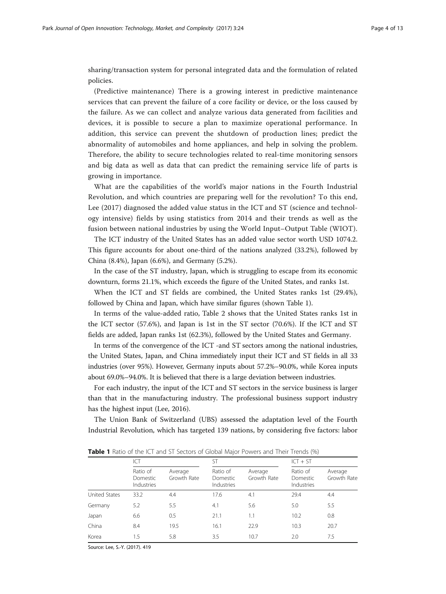sharing/transaction system for personal integrated data and the formulation of related policies.

(Predictive maintenance) There is a growing interest in predictive maintenance services that can prevent the failure of a core facility or device, or the loss caused by the failure. As we can collect and analyze various data generated from facilities and devices, it is possible to secure a plan to maximize operational performance. In addition, this service can prevent the shutdown of production lines; predict the abnormality of automobiles and home appliances, and help in solving the problem. Therefore, the ability to secure technologies related to real-time monitoring sensors and big data as well as data that can predict the remaining service life of parts is growing in importance.

What are the capabilities of the world's major nations in the Fourth Industrial Revolution, and which countries are preparing well for the revolution? To this end, Lee ([2017](#page-12-0)) diagnosed the added value status in the ICT and ST (science and technology intensive) fields by using statistics from 2014 and their trends as well as the fusion between national industries by using the World Input–Output Table (WIOT).

The ICT industry of the United States has an added value sector worth USD 1074.2. This figure accounts for about one-third of the nations analyzed (33.2%), followed by China (8.4%), Japan (6.6%), and Germany (5.2%).

In the case of the ST industry, Japan, which is struggling to escape from its economic downturn, forms 21.1%, which exceeds the figure of the United States, and ranks 1st.

When the ICT and ST fields are combined, the United States ranks 1st (29.4%), followed by China and Japan, which have similar figures (shown Table 1).

In terms of the value-added ratio, Table [2](#page-4-0) shows that the United States ranks 1st in the ICT sector (57.6%), and Japan is 1st in the ST sector (70.6%). If the ICT and ST fields are added, Japan ranks 1st (62.3%), followed by the United States and Germany.

In terms of the convergence of the ICT -and ST sectors among the national industries, the United States, Japan, and China immediately input their ICT and ST fields in all 33 industries (over 95%). However, Germany inputs about 57.2%–90.0%, while Korea inputs about 69.0%–94.0%. It is believed that there is a large deviation between industries.

For each industry, the input of the ICT and ST sectors in the service business is larger than that in the manufacturing industry. The professional business support industry has the highest input (Lee, [2016\)](#page-12-0).

The Union Bank of Switzerland (UBS) assessed the adaptation level of the Fourth Industrial Revolution, which has targeted 139 nations, by considering five factors: labor

|  |  | Table 1 Ratio of the ICT and ST Sectors of Global Major Powers and Their Trends (%) |                       |
|--|--|-------------------------------------------------------------------------------------|-----------------------|
|  |  |                                                                                     | $\sqrt{1}$ $\sqrt{1}$ |

|                      | ICT                                |                        | ST                                 |                        | $ICT + ST$                                |                        |
|----------------------|------------------------------------|------------------------|------------------------------------|------------------------|-------------------------------------------|------------------------|
|                      | Ratio of<br>Domestic<br>Industries | Average<br>Growth Rate | Ratio of<br>Domestic<br>Industries | Average<br>Growth Rate | Ratio of<br>Domestic<br><b>Industries</b> | Average<br>Growth Rate |
| <b>United States</b> | 33.2                               | 4.4                    | 17.6                               | 4.1                    | 29.4                                      | 4.4                    |
| Germany              | 5.2                                | 5.5                    | 4.1                                | 5.6                    | 5.0                                       | 5.5                    |
| Japan                | 6.6                                | 0.5                    | 21.1                               | 1.1                    | 10.2                                      | 0.8                    |
| China                | 8.4                                | 19.5                   | 16.1                               | 22.9                   | 10.3                                      | 20.7                   |
| Korea                | 1.5                                | 5.8                    | 3.5                                | 10.7                   | 2.0                                       | 7.5                    |

Source: Lee, S.-Y. (2017). 419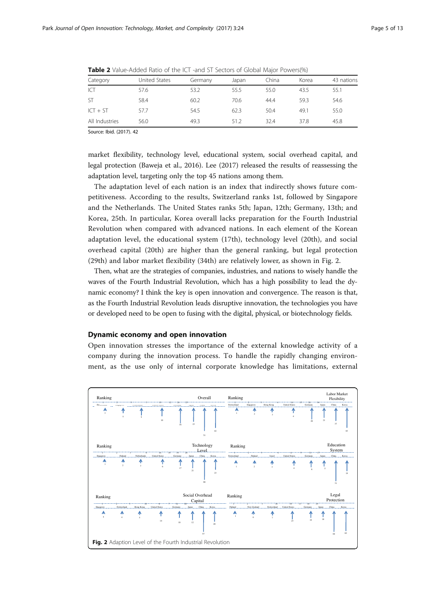| Category       | United States | Germany | Japan | China | Korea | 43 nations |
|----------------|---------------|---------|-------|-------|-------|------------|
| ICT            | 57.6          | 53.2    | 55.5  | 55.0  | 43.5  | 55.1       |
| <b>ST</b>      | 58.4          | 60.2    | 70.6  | 44.4  | 59.3  | 54.6       |
| $ICT + ST$     | 57.7          | 54.5    | 62.3  | 50.4  | 49.1  | 55.0       |
| All Industries | 56.0          | 49.3    | 51.2  | 32.4  | 37.8  | 45.8       |

<span id="page-4-0"></span>**Table 2** Value-Added Ratio of the ICT -and ST Sectors of Global Major Powers(%)

Source: Ibid. (2017). 42

market flexibility, technology level, educational system, social overhead capital, and legal protection (Baweja et al., [2016\)](#page-12-0). Lee ([2017](#page-12-0)) released the results of reassessing the adaptation level, targeting only the top 45 nations among them.

The adaptation level of each nation is an index that indirectly shows future competitiveness. According to the results, Switzerland ranks 1st, followed by Singapore and the Netherlands. The United States ranks 5th; Japan, 12th; Germany, 13th; and Korea, 25th. In particular, Korea overall lacks preparation for the Fourth Industrial Revolution when compared with advanced nations. In each element of the Korean adaptation level, the educational system (17th), technology level (20th), and social overhead capital (20th) are higher than the general ranking, but legal protection (29th) and labor market flexibility (34th) are relatively lower, as shown in Fig. 2.

Then, what are the strategies of companies, industries, and nations to wisely handle the waves of the Fourth Industrial Revolution, which has a high possibility to lead the dynamic economy? I think the key is open innovation and convergence. The reason is that, as the Fourth Industrial Revolution leads disruptive innovation, the technologies you have or developed need to be open to fusing with the digital, physical, or biotechnology fields.

### Dynamic economy and open innovation

Open innovation stresses the importance of the external knowledge activity of a company during the innovation process. To handle the rapidly changing environment, as the use only of internal corporate knowledge has limitations, external

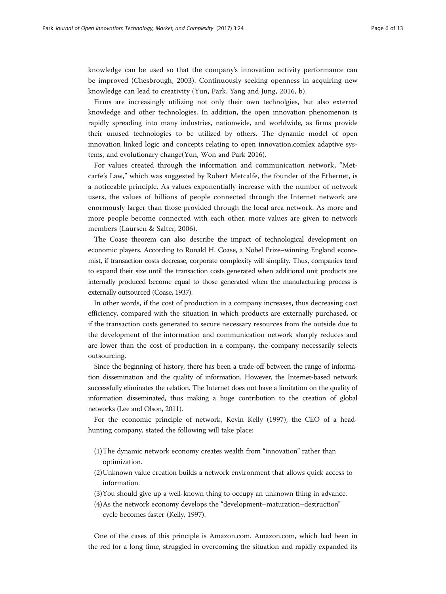knowledge can be used so that the company's innovation activity performance can be improved (Chesbrough, [2003](#page-12-0)). Continuously seeking openness in acquiring new knowledge can lead to creativity (Yun, Park, Yang and Jung, [2016, b](#page-12-0)).

Firms are increasingly utilizing not only their own technolgies, but also external knowledge and other technologies. In addition, the open innovation phenomenon is rapidly spreading into many industries, nationwide, and worldwide, as firms provide their unused technologies to be utilized by others. The dynamic model of open innovation linked logic and concepts relating to open innovation,comlex adaptive systems, and evolutionary change(Yun, Won and Park [2016\)](#page-12-0).

For values created through the information and communication network, "Metcarfe's Law," which was suggested by Robert Metcalfe, the founder of the Ethernet, is a noticeable principle. As values exponentially increase with the number of network users, the values of billions of people connected through the Internet network are enormously larger than those provided through the local area network. As more and more people become connected with each other, more values are given to network members (Laursen & Salter, [2006](#page-12-0)).

The Coase theorem can also describe the impact of technological development on economic players. According to Ronald H. Coase, a Nobel Prize–winning England economist, if transaction costs decrease, corporate complexity will simplify. Thus, companies tend to expand their size until the transaction costs generated when additional unit products are internally produced become equal to those generated when the manufacturing process is externally outsourced (Coase, [1937\)](#page-12-0).

In other words, if the cost of production in a company increases, thus decreasing cost efficiency, compared with the situation in which products are externally purchased, or if the transaction costs generated to secure necessary resources from the outside due to the development of the information and communication network sharply reduces and are lower than the cost of production in a company, the company necessarily selects outsourcing.

Since the beginning of history, there has been a trade-off between the range of information dissemination and the quality of information. However, the Internet-based network successfully eliminates the relation. The Internet does not have a limitation on the quality of information disseminated, thus making a huge contribution to the creation of global networks (Lee and Olson, [2011](#page-12-0)).

For the economic principle of network, Kevin Kelly [\(1997](#page-12-0)), the CEO of a headhunting company, stated the following will take place:

- (1)The dynamic network economy creates wealth from "innovation" rather than optimization.
- (2)Unknown value creation builds a network environment that allows quick access to information.
- (3)You should give up a well-known thing to occupy an unknown thing in advance.
- (4)As the network economy develops the "development–maturation–destruction" cycle becomes faster (Kelly, [1997\)](#page-12-0).

One of the cases of this principle is [Amazon.com. Amazon.com,](http://amazon.com) which had been in the red for a long time, struggled in overcoming the situation and rapidly expanded its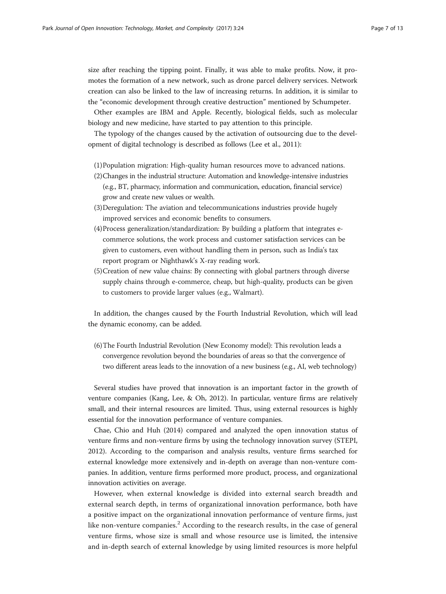size after reaching the tipping point. Finally, it was able to make profits. Now, it promotes the formation of a new network, such as drone parcel delivery services. Network creation can also be linked to the law of increasing returns. In addition, it is similar to the "economic development through creative destruction" mentioned by Schumpeter.

Other examples are IBM and Apple. Recently, biological fields, such as molecular biology and new medicine, have started to pay attention to this principle.

The typology of the changes caused by the activation of outsourcing due to the development of digital technology is described as follows (Lee et al., [2011](#page-12-0)):

- (1)Population migration: High-quality human resources move to advanced nations.
- (2)Changes in the industrial structure: Automation and knowledge-intensive industries (e.g., BT, pharmacy, information and communication, education, financial service) grow and create new values or wealth.
- (3)Deregulation: The aviation and telecommunications industries provide hugely improved services and economic benefits to consumers.
- (4)Process generalization/standardization: By building a platform that integrates ecommerce solutions, the work process and customer satisfaction services can be given to customers, even without handling them in person, such as India's tax report program or Nighthawk's X-ray reading work.
- (5)Creation of new value chains: By connecting with global partners through diverse supply chains through e-commerce, cheap, but high-quality, products can be given to customers to provide larger values (e.g., Walmart).

In addition, the changes caused by the Fourth Industrial Revolution, which will lead the dynamic economy, can be added.

(6)The Fourth Industrial Revolution (New Economy model): This revolution leads a convergence revolution beyond the boundaries of areas so that the convergence of two different areas leads to the innovation of a new business (e.g., AI, web technology)

Several studies have proved that innovation is an important factor in the growth of venture companies (Kang, Lee, & Oh, [2012](#page-12-0)). In particular, venture firms are relatively small, and their internal resources are limited. Thus, using external resources is highly essential for the innovation performance of venture companies.

Chae, Chio and Huh ([2014](#page-12-0)) compared and analyzed the open innovation status of venture firms and non-venture firms by using the technology innovation survey (STEPI, [2012](#page-12-0)). According to the comparison and analysis results, venture firms searched for external knowledge more extensively and in-depth on average than non-venture companies. In addition, venture firms performed more product, process, and organizational innovation activities on average.

However, when external knowledge is divided into external search breadth and external search depth, in terms of organizational innovation performance, both have a positive impact on the organizational innovation performance of venture firms, just like non-venture companies.<sup>2</sup> According to the research results, in the case of general venture firms, whose size is small and whose resource use is limited, the intensive and in-depth search of external knowledge by using limited resources is more helpful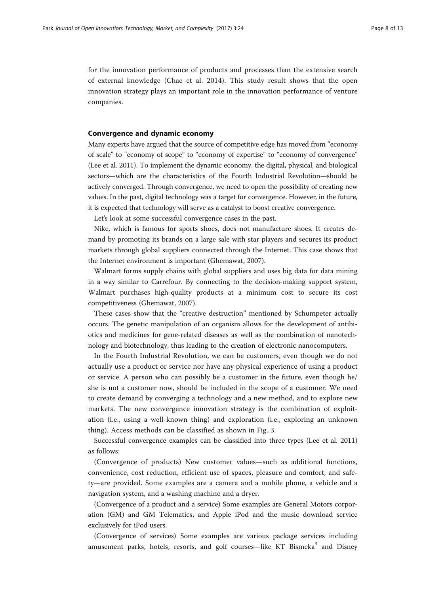for the innovation performance of products and processes than the extensive search of external knowledge (Chae et al. [2014](#page-12-0)). This study result shows that the open innovation strategy plays an important role in the innovation performance of venture companies.

#### Convergence and dynamic economy

Many experts have argued that the source of competitive edge has moved from "economy of scale" to "economy of scope" to "economy of expertise" to "economy of convergence" (Lee et al. [2011\)](#page-12-0). To implement the dynamic economy, the digital, physical, and biological sectors—which are the characteristics of the Fourth Industrial Revolution—should be actively converged. Through convergence, we need to open the possibility of creating new values. In the past, digital technology was a target for convergence. However, in the future, it is expected that technology will serve as a catalyst to boost creative convergence.

Let's look at some successful convergence cases in the past.

Nike, which is famous for sports shoes, does not manufacture shoes. It creates demand by promoting its brands on a large sale with star players and secures its product markets through global suppliers connected through the Internet. This case shows that the Internet environment is important (Ghemawat, [2007\)](#page-12-0).

Walmart forms supply chains with global suppliers and uses big data for data mining in a way similar to Carrefour. By connecting to the decision-making support system, Walmart purchases high-quality products at a minimum cost to secure its cost competitiveness (Ghemawat, [2007\)](#page-12-0).

These cases show that the "creative destruction" mentioned by Schumpeter actually occurs. The genetic manipulation of an organism allows for the development of antibiotics and medicines for gene-related diseases as well as the combination of nanotechnology and biotechnology, thus leading to the creation of electronic nanocomputers.

In the Fourth Industrial Revolution, we can be customers, even though we do not actually use a product or service nor have any physical experience of using a product or service. A person who can possibly be a customer in the future, even though he/ she is not a customer now, should be included in the scope of a customer. We need to create demand by converging a technology and a new method, and to explore new markets. The new convergence innovation strategy is the combination of exploitation (i.e., using a well-known thing) and exploration (i.e., exploring an unknown thing). Access methods can be classified as shown in Fig. [3](#page-8-0).

Successful convergence examples can be classified into three types (Lee et al. [2011](#page-12-0)) as follows:

(Convergence of products) New customer values—such as additional functions, convenience, cost reduction, efficient use of spaces, pleasure and comfort, and safety—are provided. Some examples are a camera and a mobile phone, a vehicle and a navigation system, and a washing machine and a dryer.

(Convergence of a product and a service) Some examples are General Motors corporation (GM) and GM Telematics, and Apple iPod and the music download service exclusively for iPod users.

(Convergence of services) Some examples are various package services including amusement parks, hotels, resorts, and golf courses—like KT Bismeka<sup>3</sup> and Disney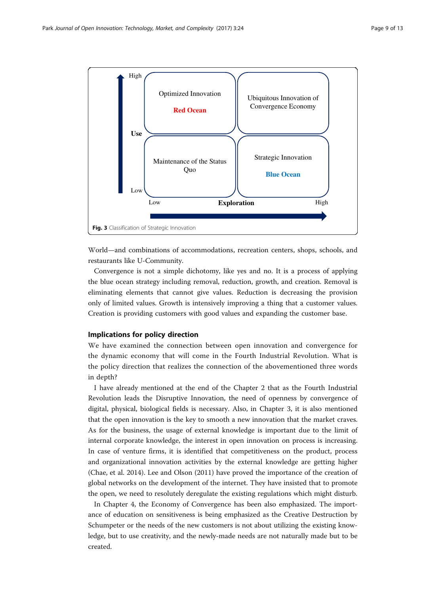<span id="page-8-0"></span>

World—and combinations of accommodations, recreation centers, shops, schools, and restaurants like U-Community.

Convergence is not a simple dichotomy, like yes and no. It is a process of applying the blue ocean strategy including removal, reduction, growth, and creation. Removal is eliminating elements that cannot give values. Reduction is decreasing the provision only of limited values. Growth is intensively improving a thing that a customer values. Creation is providing customers with good values and expanding the customer base.

### Implications for policy direction

We have examined the connection between open innovation and convergence for the dynamic economy that will come in the Fourth Industrial Revolution. What is the policy direction that realizes the connection of the abovementioned three words in depth?

I have already mentioned at the end of the Chapter 2 that as the Fourth Industrial Revolution leads the Disruptive Innovation, the need of openness by convergence of digital, physical, biological fields is necessary. Also, in Chapter 3, it is also mentioned that the open innovation is the key to smooth a new innovation that the market craves. As for the business, the usage of external knowledge is important due to the limit of internal corporate knowledge, the interest in open innovation on process is increasing. In case of venture firms, it is identified that competitiveness on the product, process and organizational innovation activities by the external knowledge are getting higher (Chae, et al. [2014\)](#page-12-0). Lee and Olson [\(2011\)](#page-12-0) have proved the importance of the creation of global networks on the development of the internet. They have insisted that to promote the open, we need to resolutely deregulate the existing regulations which might disturb.

In Chapter 4, the Economy of Convergence has been also emphasized. The importance of education on sensitiveness is being emphasized as the Creative Destruction by Schumpeter or the needs of the new customers is not about utilizing the existing knowledge, but to use creativity, and the newly-made needs are not naturally made but to be created.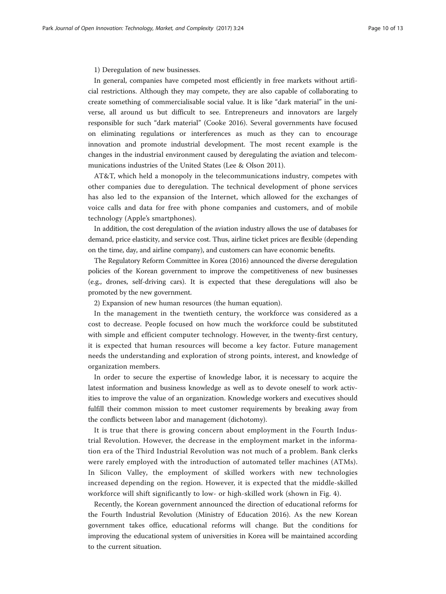1) Deregulation of new businesses.

In general, companies have competed most efficiently in free markets without artificial restrictions. Although they may compete, they are also capable of collaborating to create something of commercialisable social value. It is like "dark material" in the universe, all around us but difficult to see. Entrepreneurs and innovators are largely responsible for such "dark material" (Cooke [2016](#page-12-0)). Several governments have focused on eliminating regulations or interferences as much as they can to encourage innovation and promote industrial development. The most recent example is the changes in the industrial environment caused by deregulating the aviation and telecommunications industries of the United States (Lee & Olson [2011\)](#page-12-0).

AT&T, which held a monopoly in the telecommunications industry, competes with other companies due to deregulation. The technical development of phone services has also led to the expansion of the Internet, which allowed for the exchanges of voice calls and data for free with phone companies and customers, and of mobile technology (Apple's smartphones).

In addition, the cost deregulation of the aviation industry allows the use of databases for demand, price elasticity, and service cost. Thus, airline ticket prices are flexible (depending on the time, day, and airline company), and customers can have economic benefits.

The Regulatory Reform Committee in Korea ([2016](#page-12-0)) announced the diverse deregulation policies of the Korean government to improve the competitiveness of new businesses (e.g., drones, self-driving cars). It is expected that these deregulations will also be promoted by the new government.

2) Expansion of new human resources (the human equation).

In the management in the twentieth century, the workforce was considered as a cost to decrease. People focused on how much the workforce could be substituted with simple and efficient computer technology. However, in the twenty-first century, it is expected that human resources will become a key factor. Future management needs the understanding and exploration of strong points, interest, and knowledge of organization members.

In order to secure the expertise of knowledge labor, it is necessary to acquire the latest information and business knowledge as well as to devote oneself to work activities to improve the value of an organization. Knowledge workers and executives should fulfill their common mission to meet customer requirements by breaking away from the conflicts between labor and management (dichotomy).

It is true that there is growing concern about employment in the Fourth Industrial Revolution. However, the decrease in the employment market in the information era of the Third Industrial Revolution was not much of a problem. Bank clerks were rarely employed with the introduction of automated teller machines (ATMs). In Silicon Valley, the employment of skilled workers with new technologies increased depending on the region. However, it is expected that the middle-skilled workforce will shift significantly to low- or high-skilled work (shown in Fig. [4](#page-10-0)).

Recently, the Korean government announced the direction of educational reforms for the Fourth Industrial Revolution (Ministry of Education [2016\)](#page-12-0). As the new Korean government takes office, educational reforms will change. But the conditions for improving the educational system of universities in Korea will be maintained according to the current situation.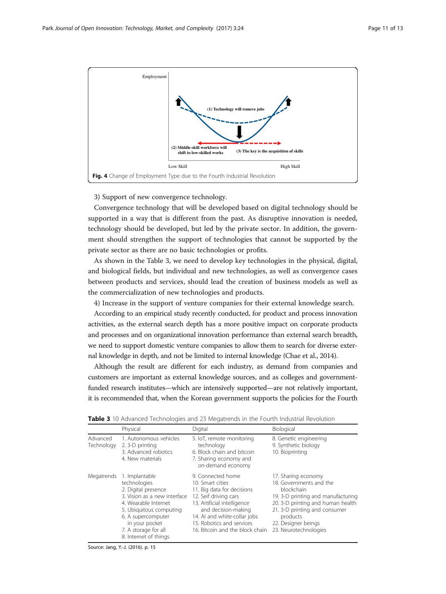<span id="page-10-0"></span>

3) Support of new convergence technology.

Convergence technology that will be developed based on digital technology should be supported in a way that is different from the past. As disruptive innovation is needed, technology should be developed, but led by the private sector. In addition, the government should strengthen the support of technologies that cannot be supported by the private sector as there are no basic technologies or profits.

As shown in the Table 3, we need to develop key technologies in the physical, digital, and biological fields, but individual and new technologies, as well as convergence cases between products and services, should lead the creation of business models as well as the commercialization of new technologies and products.

4) Increase in the support of venture companies for their external knowledge search.

According to an empirical study recently conducted, for product and process innovation activities, as the external search depth has a more positive impact on corporate products and processes and on organizational innovation performance than external search breadth, we need to support domestic venture companies to allow them to search for diverse external knowledge in depth, and not be limited to internal knowledge (Chae et al., [2014](#page-12-0)).

Although the result are different for each industry, as demand from companies and customers are important as external knowledge sources, and as colleges and governmentfunded research institutes—which are intensively supported—are not relatively important, it is recommended that, when the Korean government supports the policies for the Fourth

|                                                                                                                 | Physical                                                                                                                                                                                                                          | Digital                                                                                                                                                                                                                                            | Biological                                                                                                                                                                                                                          |  |  |
|-----------------------------------------------------------------------------------------------------------------|-----------------------------------------------------------------------------------------------------------------------------------------------------------------------------------------------------------------------------------|----------------------------------------------------------------------------------------------------------------------------------------------------------------------------------------------------------------------------------------------------|-------------------------------------------------------------------------------------------------------------------------------------------------------------------------------------------------------------------------------------|--|--|
| Advanced<br>1. Autonomous vehicles<br>Technology<br>2. 3-D printing<br>3. Advanced robotics<br>4. New materials |                                                                                                                                                                                                                                   | 5. IoT, remote monitoring<br>technology<br>6. Block chain and bitcoin<br>7. Sharing economy and<br>on-demand economy                                                                                                                               | 8. Genetic engineering<br>9. Synthetic biology<br>10. Bioprinting                                                                                                                                                                   |  |  |
| Megatrends                                                                                                      | 1. Implantable<br>technologies<br>2. Digital presence<br>3. Vision as a new interface<br>4. Wearable Internet<br>5. Ubiguitous computing<br>6. A supercomputer<br>in your pocket<br>7. A storage for all<br>8. Internet of things | 9. Connected home<br>10. Smart cities<br>11. Big data for decisions<br>12. Seif driving cars<br>13. Artificial intelligence<br>and decision-making<br>14. AI and white-collar jobs<br>15. Robotics and services<br>16. Bitcoin and the block chain | 17. Sharing economy<br>18. Governments and the<br>blockchain<br>19.3-D printing and manufacturing<br>20. 3-D printing and human health<br>21. 3-D printing and consumer<br>products<br>22. Designer beings<br>23. Neurotechnologies |  |  |

**Table 3** 10 Advanced Technologies and 23 Megatrends in the Fourth Industrial Revolution

Source: Jang, Y.-J. (2016). p. 15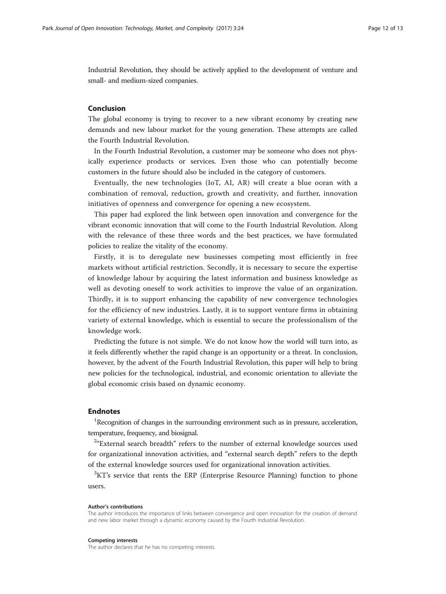Industrial Revolution, they should be actively applied to the development of venture and small- and medium-sized companies.

#### Conclusion

The global economy is trying to recover to a new vibrant economy by creating new demands and new labour market for the young generation. These attempts are called the Fourth Industrial Revolution.

In the Fourth Industrial Revolution, a customer may be someone who does not physically experience products or services. Even those who can potentially become customers in the future should also be included in the category of customers.

Eventually, the new technologies (IoT, AI, AR) will create a blue ocean with a combination of removal, reduction, growth and creativity, and further, innovation initiatives of openness and convergence for opening a new ecosystem.

This paper had explored the link between open innovation and convergence for the vibrant economic innovation that will come to the Fourth Industrial Revolution. Along with the relevance of these three words and the best practices, we have formulated policies to realize the vitality of the economy.

Firstly, it is to deregulate new businesses competing most efficiently in free markets without artificial restriction. Secondly, it is necessary to secure the expertise of knowledge labour by acquiring the latest information and business knowledge as well as devoting oneself to work activities to improve the value of an organization. Thirdly, it is to support enhancing the capability of new convergence technologies for the efficiency of new industries. Lastly, it is to support venture firms in obtaining variety of external knowledge, which is essential to secure the professionalism of the knowledge work.

Predicting the future is not simple. We do not know how the world will turn into, as it feels differently whether the rapid change is an opportunity or a threat. In conclusion, however, by the advent of the Fourth Industrial Revolution, this paper will help to bring new policies for the technological, industrial, and economic orientation to alleviate the global economic crisis based on dynamic economy.

#### Endnotes

<sup>1</sup>Recognition of changes in the surrounding environment such as in pressure, acceleration, temperature, frequency, and biosignal.

<sup>2</sup>"External search breadth" refers to the number of external knowledge sources used for organizational innovation activities, and "external search depth" refers to the depth of the external knowledge sources used for organizational innovation activities.

 ${}^{3}$ KT's service that rents the ERP (Enterprise Resource Planning) function to phone users.

#### Author's contributions

The author introduces the importance of links between convergence and open innovation for the creation of demand and new labor market through a dynamic economy caused by the Fourth Industrial Revolution.

#### Competing interests

The author declares that he has no competing interests.